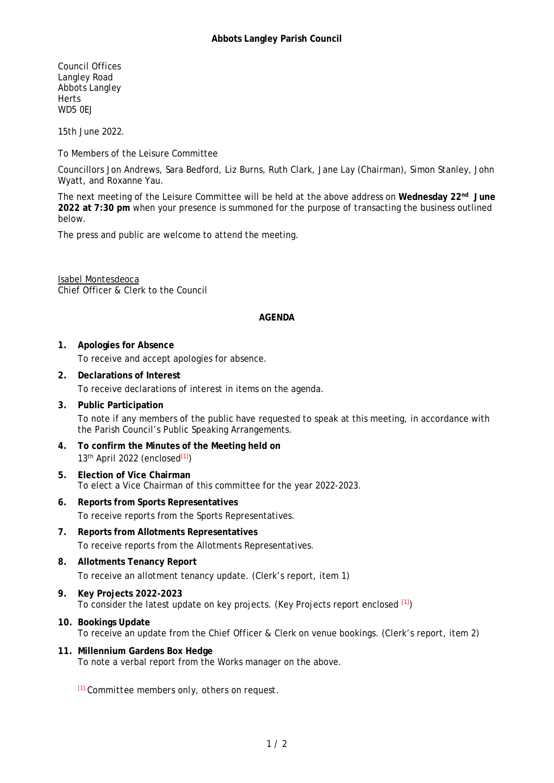Council Offices Langley Road Abbots Langley **Herts** WD<sub>5</sub> OF J

15th June 2022.

To Members of the Leisure Committee

Councillors Jon Andrews, Sara Bedford, Liz Burns, Ruth Clark, Jane Lay (Chairman), Simon Stanley, John Wyatt, and Roxanne Yau.

The next meeting of the Leisure Committee will be held at the above address on **Wednesday 22nd June 2022 at 7:30 pm** when your presence is summoned for the purpose of transacting the business outlined below.

The press and public are welcome to attend the meeting.

Isabel Montesdeoca Chief Officer & Clerk to the Council

## **AGENDA**

- **1. Apologies for Absence** To receive and accept apologies for absence.
- **2. Declarations of Interest** To receive declarations of interest in items on the agenda.
- **3. Public Participation** To note if any members of the public have requested to speak at this meeting, in accordance with the Parish Council's Public Speaking Arrangements.
- **4. To confirm the Minutes of the Meeting held on**  $13<sup>th</sup>$  April 2022 (enclosed $^{[1]}$ )
- **5. Election of Vice Chairman** To elect a Vice Chairman of this committee for the year 2022-2023.
- **6. Reports from Sports Representatives** To receive reports from the Sports Representatives.
- **7. Reports from Allotments Representatives** To receive reports from the Allotments Representatives.
- **8. Allotments Tenancy Report** To receive an allotment tenancy update. (Clerk's report, item 1)
- **9. Key Projects 2022-2023** To consider the latest update on key projects. (Key Projects report enclosed [1])
- **10. Bookings Update** To receive an update from the Chief Officer & Clerk on venue bookings. (Clerk's report, item 2)
- **11. Millennium Gardens Box Hedge** To note a verbal report from the Works manager on the above.

[1] *Committee members only, others on request.*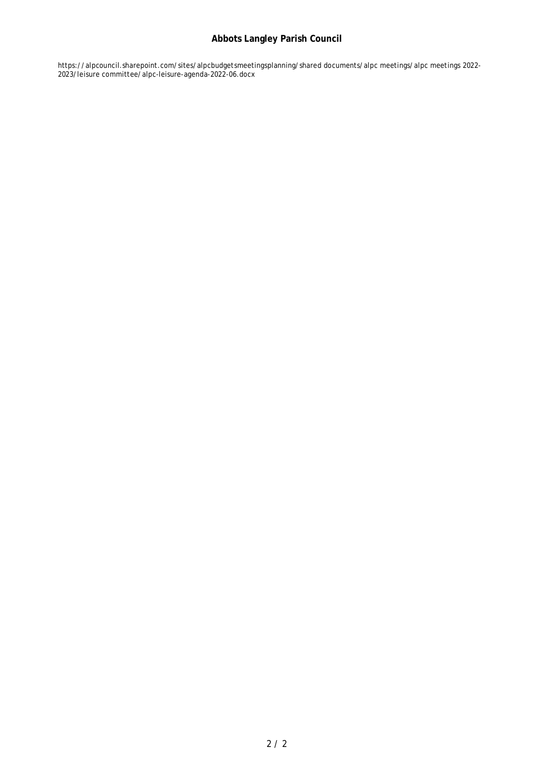# **Abbots Langley Parish Council**

https://alpcouncil.sharepoint.com/sites/alpcbudgetsmeetingsplanning/shared documents/alpc meetings/alpc meetings 2022- 2023/leisure committee/alpc-leisure-agenda-2022-06.docx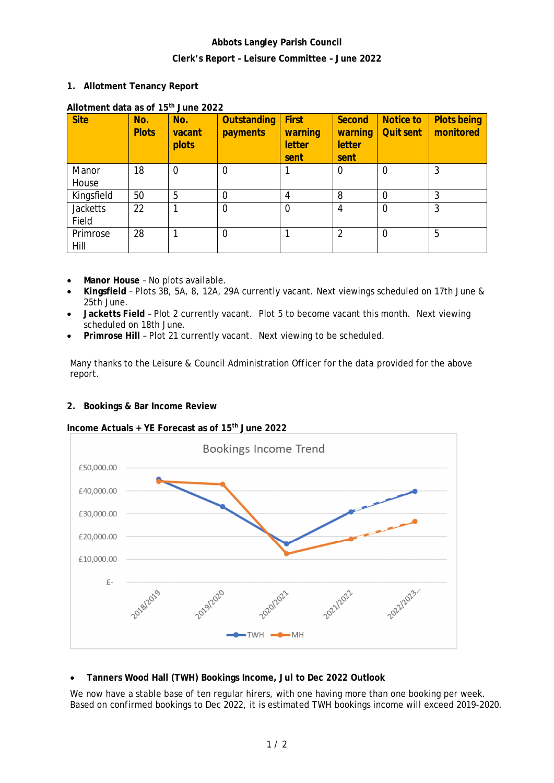# **Abbots Langley Parish Council Clerk's Report – Leisure Committee – June 2022**

**1. Allotment Tenancy Report**

| <b>Site</b>       | No.<br><b>Plots</b> | No.<br>vacant<br>plots | Outstanding<br>payments | First<br>warning<br>letter<br>sent | Second<br>warning<br>letter<br>sent | Notice to<br><b>Quit sent</b> | <b>Plots being</b><br>monitored |
|-------------------|---------------------|------------------------|-------------------------|------------------------------------|-------------------------------------|-------------------------------|---------------------------------|
| Manor<br>House    | 18                  | $\Omega$               | $\overline{0}$          |                                    | $\Omega$                            | $\Omega$                      | 3                               |
| Kingsfield        | 50                  | 5                      | $\Omega$                |                                    | 8                                   | $\Omega$                      | 3                               |
| Jacketts<br>Field | 22                  |                        | $\overline{0}$          | 0                                  | 4                                   | $\overline{0}$                | 3                               |
| Primrose<br>Hill  | 28                  |                        | $\overline{0}$          |                                    | $\overline{2}$                      | $\overline{0}$                | 5                               |

## **Allotment data as of 15th June 2022**

- **Manor House** No plots available.
- **Kingsfield** Plots 3B, 5A, 8, 12A, 29A currently vacant. Next viewings scheduled on 17th June & 25th June.
- **Jacketts Field** Plot 2 currently vacant. Plot 5 to become vacant this month. Next viewing scheduled on 18th June.
- **Primrose Hill** Plot 21 currently vacant. Next viewing to be scheduled.

Many thanks to the Leisure & Council Administration Officer for the data provided for the above report.

**2. Bookings & Bar Income Review**

**Income Actuals + YE Forecast as of 15th June 2022**



**Tanners Wood Hall (TWH) Bookings Income, Jul to Dec 2022 Outlook**

We now have a stable base of ten regular hirers, with one having more than one booking per week. Based on confirmed bookings to Dec 2022, it is estimated TWH bookings income will exceed 2019-2020.